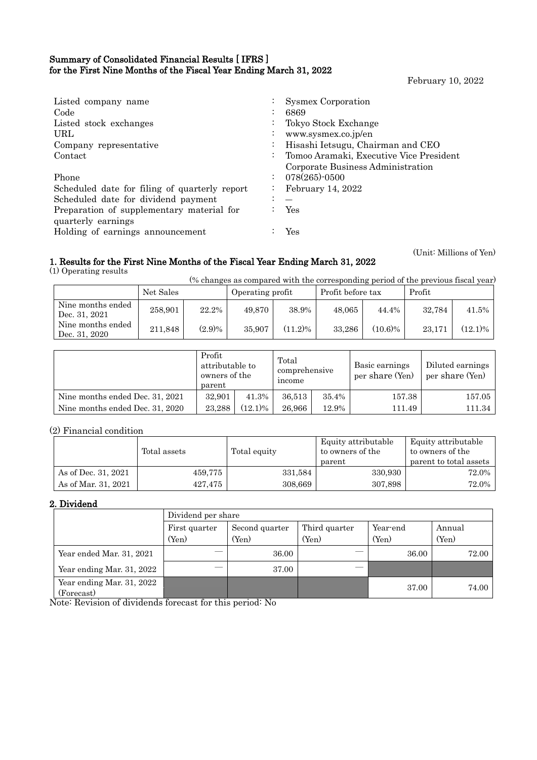### Summary of Consolidated Financial Results [ IFRS ] for the First Nine Months of the Fiscal Year Ending March 31, 2022

February 10, 2022

(Unit: Millions of Yen)

| Listed company name<br>Code<br>Listed stock exchanges<br>URL<br>Company representative<br>Contact<br>Phone<br>Scheduled date for filing of quarterly report<br>Scheduled date for dividend payment<br>Preparation of supplementary material for<br>quarterly earnings | $\bullet$<br>$\ddot{\phantom{0}}$<br>$\bullet$<br>$\sim 100$<br>$\ddot{\phantom{0}}$<br>$\bullet$<br>$\bullet$ | Sysmex Corporation<br>6869<br>Tokyo Stock Exchange<br>www.sysmex.co.jp/en<br>Hisashi Ietsugu, Chairman and CEO<br>Tomoo Aramaki, Executive Vice President<br>Corporate Business Administration<br>078(265)-0500<br>February 14, 2022<br>Yes |
|-----------------------------------------------------------------------------------------------------------------------------------------------------------------------------------------------------------------------------------------------------------------------|----------------------------------------------------------------------------------------------------------------|---------------------------------------------------------------------------------------------------------------------------------------------------------------------------------------------------------------------------------------------|
| Holding of earnings announcement                                                                                                                                                                                                                                      |                                                                                                                | Yes                                                                                                                                                                                                                                         |

## 1. Results for the First Nine Months of the Fiscal Year Ending March 31, 2022

(1) Operating results

 $\mathbf{r}$ 

(% changes as compared with the corresponding period of the previous fiscal year)

|                                    | Net Sales |           | Operating profit |            | Profit before tax |            | Profit |            |
|------------------------------------|-----------|-----------|------------------|------------|-------------------|------------|--------|------------|
| Nine months ended<br>Dec. 31, 2021 | 258.901   | 22.2%     | 49.870           | 38.9%      | 48,065            | 44.4%      | 32.784 | 41.5%      |
| Nine months ended<br>Dec. 31, 2020 | 211.848   | $(2.9)\%$ | 35,907           | $(11.2)\%$ | 33.286            | $(10.6)\%$ | 23.171 | $(12.1)\%$ |

|                                 | Profit<br>attributable to<br>owners of the<br>parent |            | Total<br>comprehensive<br>income |       | Basic earnings<br>per share (Yen) |        |
|---------------------------------|------------------------------------------------------|------------|----------------------------------|-------|-----------------------------------|--------|
| Nine months ended Dec. 31, 2021 | 32,901                                               | 41.3%      | 36.513                           | 35.4% | 157.38                            | 157.05 |
| Nine months ended Dec. 31, 2020 | 23.288                                               | $(12.1)\%$ | 26.966                           | 12.9% | 111.49                            | 111.34 |

## (2) Financial condition

|                     | Total assets | Total equity | Equity attributable<br>to owners of the<br>parent | Equity attributable<br>to owners of the<br>parent to total assets |
|---------------------|--------------|--------------|---------------------------------------------------|-------------------------------------------------------------------|
| As of Dec. 31, 2021 | 459.775      | 331,584      | 330,930                                           | 72.0%                                                             |
| As of Mar. 31, 2021 | 427,475      | 308,669      | 307,898                                           | 72.0%                                                             |

### 2. Dividend

|                                         | Dividend per share |                |               |          |        |  |  |  |
|-----------------------------------------|--------------------|----------------|---------------|----------|--------|--|--|--|
|                                         | First quarter      | Second quarter | Third quarter | Year-end | Annual |  |  |  |
|                                         | (Yen)              | (Yen)          | (Yen)         | (Yen)    | (Yen)  |  |  |  |
| Year ended Mar. 31, 2021                | --                 | 36.00          |               | 36.00    | 72.00  |  |  |  |
| Year ending Mar. 31, 2022               | ---                | 37.00          |               |          |        |  |  |  |
| Year ending Mar. 31, 2022<br>(Forecast) |                    |                |               | 37.00    | 74.00  |  |  |  |

Note: Revision of dividends forecast for this period: No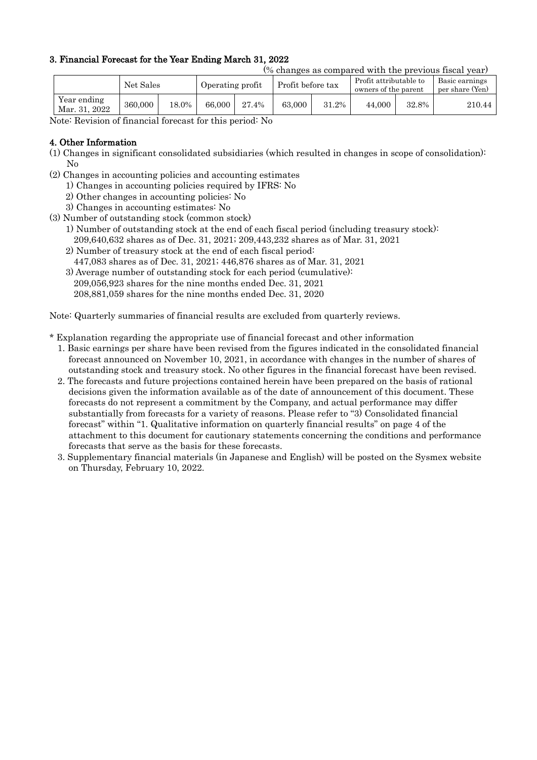## 3. Financial Forecast for the Year Ending March 31, 2022

|                              |         |                  |        |                   |        |                                                |        | (% changes as compared with the previous fiscal year) |        |
|------------------------------|---------|------------------|--------|-------------------|--------|------------------------------------------------|--------|-------------------------------------------------------|--------|
| Net Sales                    |         | Operating profit |        | Profit before tax |        | Profit attributable to<br>owners of the parent |        | Basic earnings<br>per share (Yen)                     |        |
| Year ending<br>Mar. 31, 2022 | 360,000 | 18.0%            | 66,000 | 27.4%             | 63,000 | 31.2%                                          | 44.000 | 32.8%                                                 | 210.44 |

Note: Revision of financial forecast for this period: No

### 4. Other Information

- (1) Changes in significant consolidated subsidiaries (which resulted in changes in scope of consolidation): No
- (2) Changes in accounting policies and accounting estimates
	- 1) Changes in accounting policies required by IFRS: No
	- 2) Other changes in accounting policies: No
	- 3) Changes in accounting estimates: No
- (3) Number of outstanding stock (common stock)
	- 1) Number of outstanding stock at the end of each fiscal period (including treasury stock): 209,640,632 shares as of Dec. 31, 2021; 209,443,232 shares as of Mar. 31, 2021
	- 2) Number of treasury stock at the end of each fiscal period:
	- 447,083 shares as of Dec. 31, 2021; 446,876 shares as of Mar. 31, 2021
	- 3) Average number of outstanding stock for each period (cumulative):

209,056,923 shares for the nine months ended Dec. 31, 2021

208,881,059 shares for the nine months ended Dec. 31, 2020

Note: Quarterly summaries of financial results are excluded from quarterly reviews.

\* Explanation regarding the appropriate use of financial forecast and other information

- 1. Basic earnings per share have been revised from the figures indicated in the consolidated financial forecast announced on November 10, 2021, in accordance with changes in the number of shares of outstanding stock and treasury stock. No other figures in the financial forecast have been revised.
- 2. The forecasts and future projections contained herein have been prepared on the basis of rational decisions given the information available as of the date of announcement of this document. These forecasts do not represent a commitment by the Company, and actual performance may differ substantially from forecasts for a variety of reasons. Please refer to "3) Consolidated financial forecast" within "1. Qualitative information on quarterly financial results" on page 4 of the attachment to this document for cautionary statements concerning the conditions and performance forecasts that serve as the basis for these forecasts.
- 3. Supplementary financial materials (in Japanese and English) will be posted on the Sysmex website on Thursday, February 10, 2022.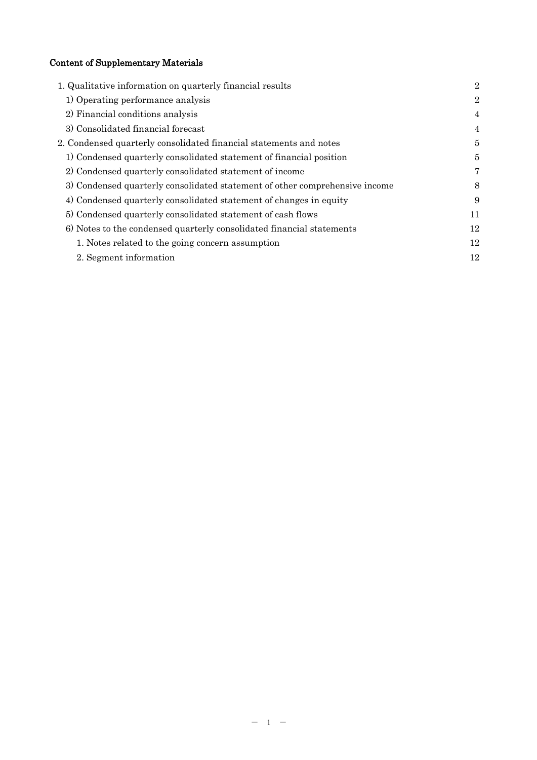# Content of Supplementary Materials

| 1. Qualitative information on quarterly financial results                   | $\overline{2}$ |
|-----------------------------------------------------------------------------|----------------|
| 1) Operating performance analysis                                           | $\overline{2}$ |
| 2) Financial conditions analysis                                            | $\overline{4}$ |
| 3) Consolidated financial forecast                                          | $\overline{4}$ |
| 2. Condensed quarterly consolidated financial statements and notes          | 5              |
| 1) Condensed quarterly consolidated statement of financial position         | 5              |
| 2) Condensed quarterly consolidated statement of income                     | 7              |
| 3) Condensed quarterly consolidated statement of other comprehensive income | 8              |
| 4) Condensed quarterly consolidated statement of changes in equity          | 9              |
| 5) Condensed quarterly consolidated statement of cash flows                 | 11             |
| 6) Notes to the condensed quarterly consolidated financial statements       | 12             |
| 1. Notes related to the going concern assumption                            | 12             |
| 2. Segment information                                                      | 12             |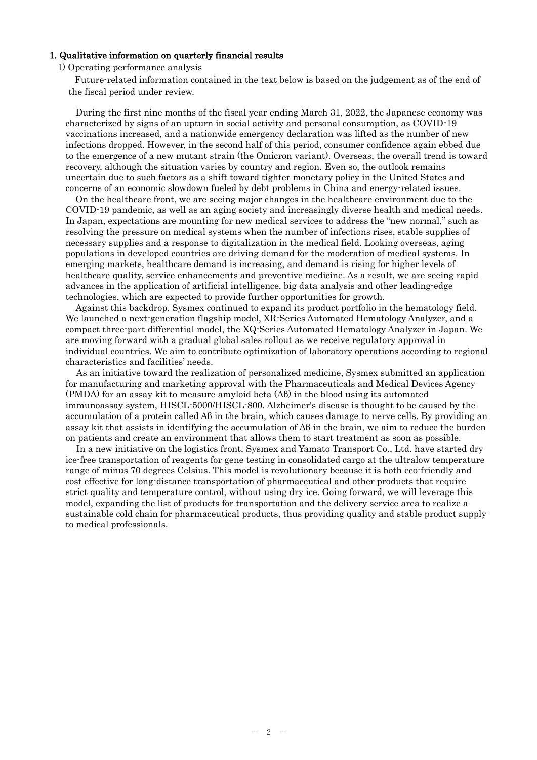#### 1. Qualitative information on quarterly financial results

1) Operating performance analysis

Future-related information contained in the text below is based on the judgement as of the end of the fiscal period under review.

During the first nine months of the fiscal year ending March 31, 2022, the Japanese economy was characterized by signs of an upturn in social activity and personal consumption, as COVID-19 vaccinations increased, and a nationwide emergency declaration was lifted as the number of new infections dropped. However, in the second half of this period, consumer confidence again ebbed due to the emergence of a new mutant strain (the Omicron variant). Overseas, the overall trend is toward recovery, although the situation varies by country and region. Even so, the outlook remains uncertain due to such factors as a shift toward tighter monetary policy in the United States and concerns of an economic slowdown fueled by debt problems in China and energy-related issues.

On the healthcare front, we are seeing major changes in the healthcare environment due to the COVID-19 pandemic, as well as an aging society and increasingly diverse health and medical needs. In Japan, expectations are mounting for new medical services to address the "new normal," such as resolving the pressure on medical systems when the number of infections rises, stable supplies of necessary supplies and a response to digitalization in the medical field. Looking overseas, aging populations in developed countries are driving demand for the moderation of medical systems. In emerging markets, healthcare demand is increasing, and demand is rising for higher levels of healthcare quality, service enhancements and preventive medicine. As a result, we are seeing rapid advances in the application of artificial intelligence, big data analysis and other leading-edge technologies, which are expected to provide further opportunities for growth.

Against this backdrop, Sysmex continued to expand its product portfolio in the hematology field. We launched a next-generation flagship model, XR-Series Automated Hematology Analyzer, and a compact three-part differential model, the XQ-Series Automated Hematology Analyzer in Japan. We are moving forward with a gradual global sales rollout as we receive regulatory approval in individual countries. We aim to contribute optimization of laboratory operations according to regional characteristics and facilities' needs.

As an initiative toward the realization of personalized medicine, Sysmex submitted an application for manufacturing and marketing approval with the Pharmaceuticals and Medical Devices Agency (PMDA) for an assay kit to measure amyloid beta (Aβ) in the blood using its automated immunoassay system, HISCL-5000/HISCL-800. Alzheimer's disease is thought to be caused by the accumulation of a protein called Aβ in the brain, which causes damage to nerve cells. By providing an assay kit that assists in identifying the accumulation of Aβ in the brain, we aim to reduce the burden on patients and create an environment that allows them to start treatment as soon as possible.

In a new initiative on the logistics front, Sysmex and Yamato Transport Co., Ltd. have started dry ice-free transportation of reagents for gene testing in consolidated cargo at the ultralow temperature range of minus 70 degrees Celsius. This model is revolutionary because it is both eco-friendly and cost effective for long-distance transportation of pharmaceutical and other products that require strict quality and temperature control, without using dry ice. Going forward, we will leverage this model, expanding the list of products for transportation and the delivery service area to realize a sustainable cold chain for pharmaceutical products, thus providing quality and stable product supply to medical professionals.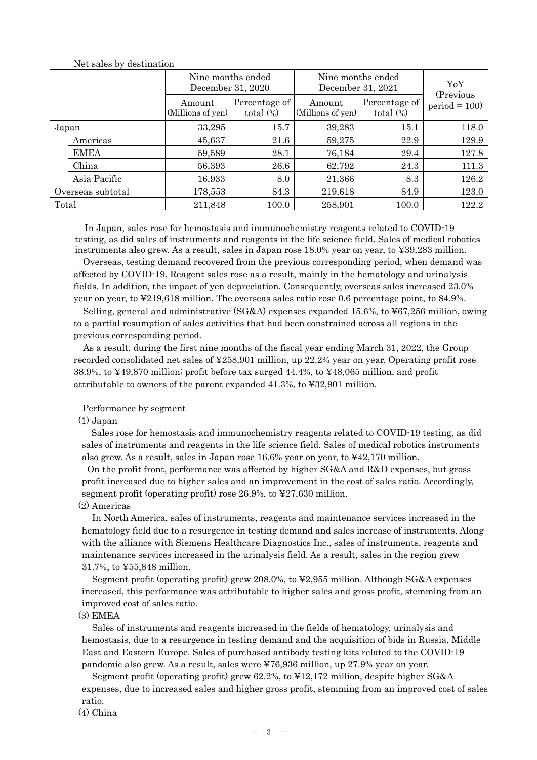|                   |              |                             | Nine months ended<br>December 31, 2020 | Nine months ended<br>December 31, 2021 | YoY<br>(Previous              |                |
|-------------------|--------------|-----------------------------|----------------------------------------|----------------------------------------|-------------------------------|----------------|
|                   |              | Amount<br>(Millions of yen) | Percentage of<br>total $(\%)$          | Amount<br>(Millions of yen)            | Percentage of<br>total $(\%)$ | $period = 100$ |
| Japan             |              | 33,295                      | 15.7                                   | 39,283                                 | 15.1                          | 118.0          |
|                   | Americas     | 45,637                      | 21.6                                   | 59,275                                 | 22.9                          | 129.9          |
|                   | <b>EMEA</b>  | 59,589                      | 28.1                                   | 76,184                                 | 29.4                          | 127.8          |
|                   | China        | 56,393                      | 26.6                                   | 62,792                                 | 24.3                          | 111.3          |
|                   | Asia Pacific | 16,933                      | 8.0                                    | 21,366                                 | 8.3                           | 126.2          |
| Overseas subtotal |              | 178,553                     | 84.3                                   | 219,618                                | 84.9                          | 123.0          |
| Total             |              | 211,848                     | 100.0                                  | 258,901                                | 100.0                         | 122.2          |

Net sales by destination

In Japan, sales rose for hemostasis and immunochemistry reagents related to COVID-19 testing, as did sales of instruments and reagents in the life science field. Sales of medical robotics instruments also grew. As a result, sales in Japan rose 18.0% year on year, to ¥39,283 million.

Overseas, testing demand recovered from the previous corresponding period, when demand was affected by COVID-19. Reagent sales rose as a result, mainly in the hematology and urinalysis fields. In addition, the impact of yen depreciation. Consequently, overseas sales increased 23.0% year on year, to ¥219,618 million. The overseas sales ratio rose 0.6 percentage point, to 84.9%.

Selling, general and administrative (SG&A) expenses expanded 15.6%, to ¥67,256 million, owing to a partial resumption of sales activities that had been constrained across all regions in the previous corresponding period.

As a result, during the first nine months of the fiscal year ending March 31, 2022, the Group recorded consolidated net sales of ¥258,901 million, up 22.2% year on year. Operating profit rose 38.9%, to ¥49,870 million; profit before tax surged 44.4%, to ¥48,065 million, and profit attributable to owners of the parent expanded 41.3%, to ¥32,901 million.

#### Performance by segment

#### (1) Japan

Sales rose for hemostasis and immunochemistry reagents related to COVID-19 testing, as did sales of instruments and reagents in the life science field. Sales of medical robotics instruments also grew. As a result, sales in Japan rose 16.6% year on year, to ¥42,170 million.

On the profit front, performance was affected by higher SG&A and R&D expenses, but gross profit increased due to higher sales and an improvement in the cost of sales ratio. Accordingly, segment profit (operating profit) rose 26.9%, to ¥27,630 million.

### (2) Americas

In North America, sales of instruments, reagents and maintenance services increased in the hematology field due to a resurgence in testing demand and sales increase of instruments. Along with the alliance with Siemens Healthcare Diagnostics Inc., sales of instruments, reagents and maintenance services increased in the urinalysis field. As a result, sales in the region grew 31.7%, to ¥55,848 million.

Segment profit (operating profit) grew 208.0%, to ¥2,955 million. Although SG&A expenses increased, this performance was attributable to higher sales and gross profit, stemming from an improved cost of sales ratio.

#### (3) EMEA

Sales of instruments and reagents increased in the fields of hematology, urinalysis and hemostasis, due to a resurgence in testing demand and the acquisition of bids in Russia, Middle East and Eastern Europe. Sales of purchased antibody testing kits related to the COVID-19 pandemic also grew. As a result, sales were ¥76,936 million, up 27.9% year on year.

Segment profit (operating profit) grew 62.2%, to ¥12,172 million, despite higher SG&A expenses, due to increased sales and higher gross profit, stemming from an improved cost of sales ratio.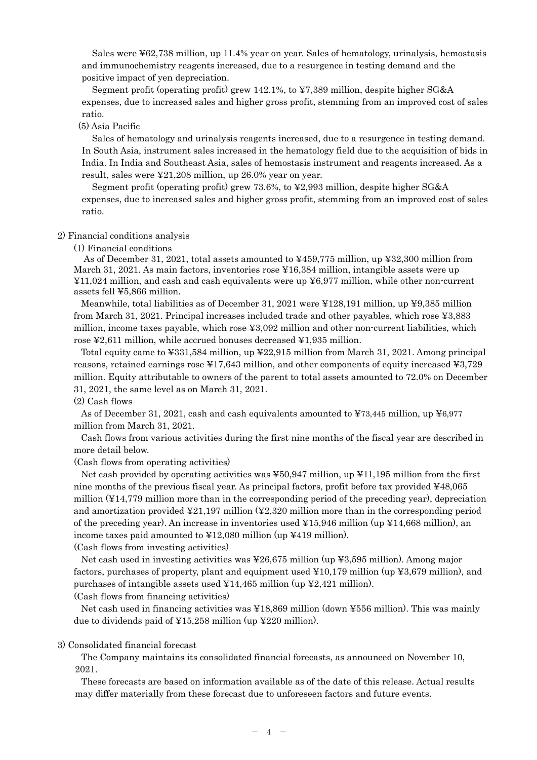Sales were ¥62,738 million, up 11.4% year on year. Sales of hematology, urinalysis, hemostasis and immunochemistry reagents increased, due to a resurgence in testing demand and the positive impact of yen depreciation.

Segment profit (operating profit) grew 142.1%, to ¥7,389 million, despite higher SG&A expenses, due to increased sales and higher gross profit, stemming from an improved cost of sales ratio.

#### (5) Asia Pacific

Sales of hematology and urinalysis reagents increased, due to a resurgence in testing demand. In South Asia, instrument sales increased in the hematology field due to the acquisition of bids in India. In India and Southeast Asia, sales of hemostasis instrument and reagents increased. As a result, sales were ¥21,208 million, up 26.0% year on year.

Segment profit (operating profit) grew 73.6%, to ¥2,993 million, despite higher SG&A expenses, due to increased sales and higher gross profit, stemming from an improved cost of sales ratio.

#### 2) Financial conditions analysis

(1) Financial conditions

As of December 31, 2021, total assets amounted to ¥459,775 million, up ¥32,300 million from March 31, 2021. As main factors, inventories rose ¥16,384 million, intangible assets were up ¥11,024 million, and cash and cash equivalents were up ¥6,977 million, while other non-current assets fell ¥5,866 million.

Meanwhile, total liabilities as of December 31, 2021 were ¥128,191 million, up ¥9,385 million from March 31, 2021. Principal increases included trade and other payables, which rose ¥3,883 million, income taxes payable, which rose ¥3,092 million and other non-current liabilities, which rose ¥2,611 million, while accrued bonuses decreased ¥1,935 million.

Total equity came to ¥331,584 million, up ¥22,915 million from March 31, 2021. Among principal reasons, retained earnings rose ¥17,643 million, and other components of equity increased ¥3,729 million. Equity attributable to owners of the parent to total assets amounted to 72.0% on December 31, 2021, the same level as on March 31, 2021.

#### (2) Cash flows

As of December 31, 2021, cash and cash equivalents amounted to ¥73,445 million, up ¥6,977 million from March 31, 2021.

Cash flows from various activities during the first nine months of the fiscal year are described in more detail below.

#### (Cash flows from operating activities)

Net cash provided by operating activities was ¥50,947 million, up ¥11,195 million from the first nine months of the previous fiscal year. As principal factors, profit before tax provided ¥48,065 million (¥14,779 million more than in the corresponding period of the preceding year), depreciation and amortization provided  $\text{\textless}21,197$  million ( $\text{\textless}2320$  million more than in the corresponding period of the preceding year). An increase in inventories used ¥15,946 million (up ¥14,668 million), an income taxes paid amounted to ¥12,080 million (up ¥419 million).

(Cash flows from investing activities)

Net cash used in investing activities was ¥26,675 million (up ¥3,595 million). Among major factors, purchases of property, plant and equipment used  $\frac{10,179}{10,179}$  million (up  $\frac{12,679}{10,179}$  million), and purchases of intangible assets used  $\text{\textsterling}14,465$  million (up  $\text{\textsterling}2,421$  million).

(Cash flows from financing activities)

Net cash used in financing activities was ¥18,869 million (down ¥556 million). This was mainly due to dividends paid of ¥15,258 million (up ¥220 million).

#### 3) Consolidated financial forecast

The Company maintains its consolidated financial forecasts, as announced on November 10, 2021.

These forecasts are based on information available as of the date of this release. Actual results may differ materially from these forecast due to unforeseen factors and future events.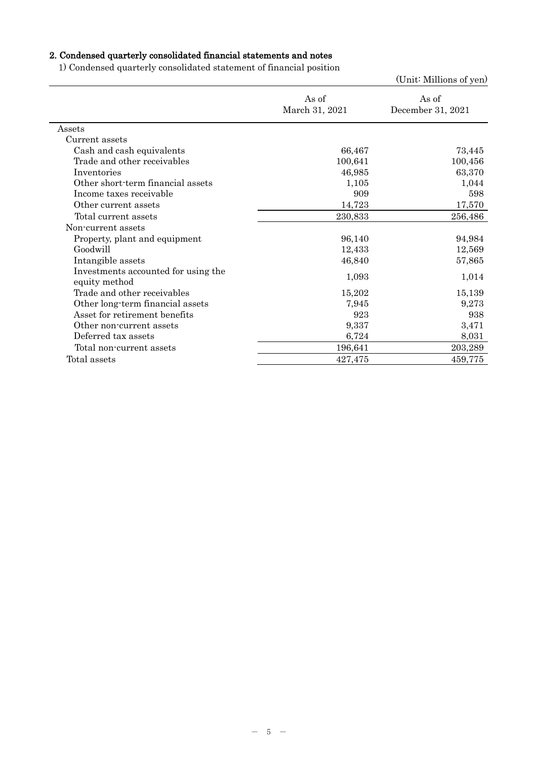# 2. Condensed quarterly consolidated financial statements and notes

1) Condensed quarterly consolidated statement of financial position

|                                                      |                         | (Unit: Millions of yen)    |
|------------------------------------------------------|-------------------------|----------------------------|
|                                                      | As of<br>March 31, 2021 | As of<br>December 31, 2021 |
| Assets                                               |                         |                            |
| Current assets                                       |                         |                            |
| Cash and cash equivalents                            | 66,467                  | 73,445                     |
| Trade and other receivables                          | 100,641                 | 100,456                    |
| Inventories                                          | 46,985                  | 63,370                     |
| Other short-term financial assets                    | 1,105                   | 1,044                      |
| Income taxes receivable                              | 909                     | 598                        |
| Other current assets                                 | 14,723                  | 17,570                     |
| Total current assets                                 | 230,833                 | 256,486                    |
| Non-current assets                                   |                         |                            |
| Property, plant and equipment                        | 96,140                  | 94,984                     |
| Goodwill                                             | 12,433                  | 12,569                     |
| Intangible assets                                    | 46,840                  | 57,865                     |
| Investments accounted for using the<br>equity method | 1,093                   | 1,014                      |
| Trade and other receivables                          | 15,202                  | 15,139                     |
| Other long-term financial assets                     | 7,945                   | 9,273                      |
| Asset for retirement benefits                        | 923                     | 938                        |
| Other non-current assets                             | 9,337                   | 3,471                      |
| Deferred tax assets                                  | 6,724                   | 8,031                      |
| Total non-current assets                             | 196,641                 | 203,289                    |
| Total assets                                         | 427,475                 | 459,775                    |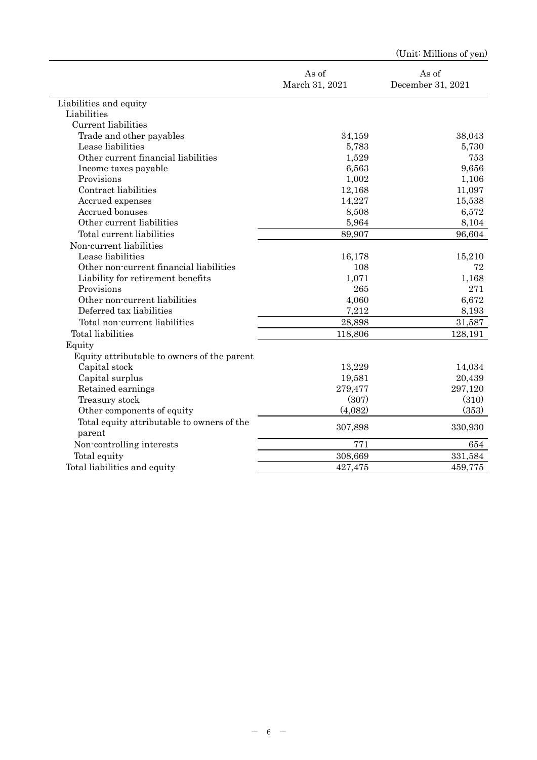|                                                      |                         | /Oliit. Millimiis of <i>Aen</i> |
|------------------------------------------------------|-------------------------|---------------------------------|
|                                                      | As of<br>March 31, 2021 | As of<br>December 31, 2021      |
| Liabilities and equity                               |                         |                                 |
| Liabilities                                          |                         |                                 |
| Current liabilities                                  |                         |                                 |
| Trade and other payables                             | 34,159                  | 38,043                          |
| Lease liabilities                                    | 5,783                   | 5,730                           |
| Other current financial liabilities                  | 1,529                   | 753                             |
| Income taxes payable                                 | 6,563                   | 9,656                           |
| Provisions                                           | 1,002                   | 1,106                           |
| Contract liabilities                                 | 12,168                  | 11,097                          |
| Accrued expenses                                     | 14,227                  | 15,538                          |
| Accrued bonuses                                      | 8,508                   | 6,572                           |
| Other current liabilities                            | 5,964                   | 8,104                           |
| Total current liabilities                            | 89,907                  | 96,604                          |
| Non-current liabilities                              |                         |                                 |
| Lease liabilities                                    | 16,178                  | 15,210                          |
| Other non-current financial liabilities              | 108                     | 72                              |
| Liability for retirement benefits                    | 1,071                   | 1,168                           |
| Provisions                                           | 265                     | 271                             |
| Other non-current liabilities                        | 4,060                   | 6,672                           |
| Deferred tax liabilities                             | 7,212                   | 8,193                           |
| Total non-current liabilities                        | 28,898                  | 31,587                          |
| Total liabilities                                    | 118,806                 | 128,191                         |
| Equity                                               |                         |                                 |
| Equity attributable to owners of the parent          |                         |                                 |
| Capital stock                                        | 13,229                  | 14,034                          |
| Capital surplus                                      | 19,581                  | 20,439                          |
| Retained earnings                                    | 279,477                 | 297,120                         |
| Treasury stock                                       | (307)                   | (310)                           |
| Other components of equity                           | (4,082)                 | (353)                           |
| Total equity attributable to owners of the<br>parent | 307,898                 | 330,930                         |
| Non-controlling interests                            | 771                     | 654                             |
| Total equity                                         | 308,669                 | 331,584                         |
| Total liabilities and equity                         | 427,475                 | 459,775                         |
|                                                      |                         |                                 |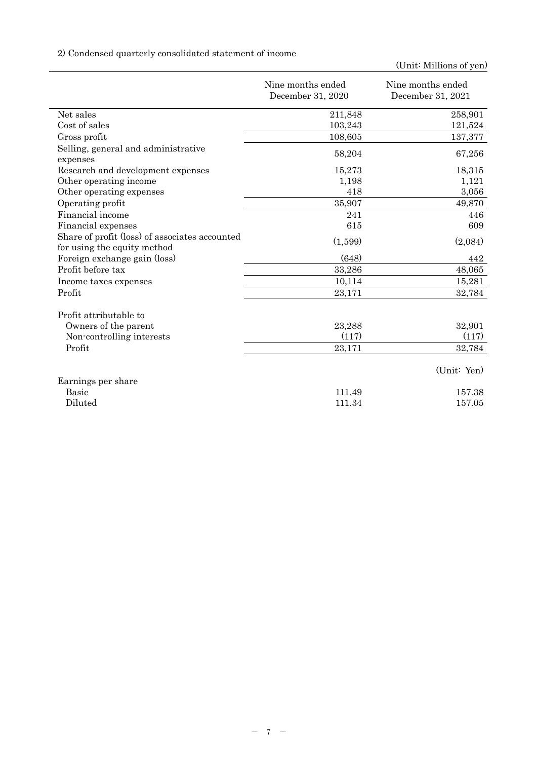# 2) Condensed quarterly consolidated statement of income

|                                                                               | Nine months ended<br>December 31, 2020 | Nine months ended<br>December 31, 2021 |
|-------------------------------------------------------------------------------|----------------------------------------|----------------------------------------|
| Net sales                                                                     | 211,848                                | 258,901                                |
| Cost of sales                                                                 | 103,243                                | 121,524                                |
| Gross profit                                                                  | 108,605                                | 137,377                                |
| Selling, general and administrative<br>expenses                               | 58,204                                 | 67,256                                 |
| Research and development expenses                                             | 15,273                                 | 18,315                                 |
| Other operating income                                                        | 1,198                                  | 1,121                                  |
| Other operating expenses                                                      | 418                                    | 3,056                                  |
| Operating profit                                                              | 35,907                                 | 49,870                                 |
| Financial income                                                              | 241                                    | 446                                    |
| Financial expenses                                                            | 615                                    | 609                                    |
| Share of profit (loss) of associates accounted<br>for using the equity method | (1,599)                                | (2,084)                                |
| Foreign exchange gain (loss)                                                  | (648)                                  | 442                                    |
| Profit before tax                                                             | 33,286                                 | 48,065                                 |
| Income taxes expenses                                                         | 10,114                                 | 15,281                                 |
| Profit                                                                        | 23,171                                 | 32,784                                 |
| Profit attributable to                                                        |                                        |                                        |
| Owners of the parent                                                          | 23,288                                 | 32,901                                 |
| Non-controlling interests                                                     | (117)                                  | (117)                                  |
| Profit                                                                        | 23,171                                 | 32,784                                 |
|                                                                               |                                        | (Unit: Yen)                            |
| Earnings per share                                                            |                                        |                                        |
| <b>Basic</b>                                                                  | 111.49                                 | 157.38                                 |
| Diluted                                                                       | 111.34                                 | 157.05                                 |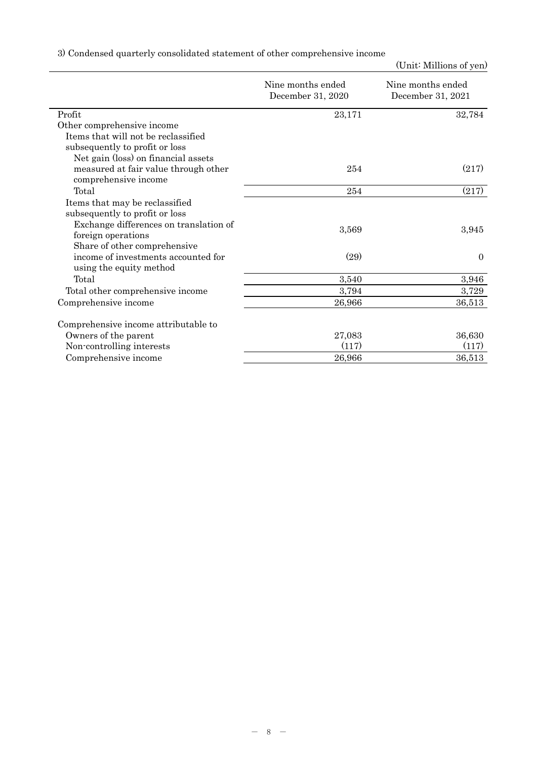|  |  |  | 3) Condensed quarterly consolidated statement of other comprehensive income |  |
|--|--|--|-----------------------------------------------------------------------------|--|
|  |  |  |                                                                             |  |

|                                                                  | Nine months ended<br>December 31, 2020 | Nine months ended<br>December 31, 2021 |  |
|------------------------------------------------------------------|----------------------------------------|----------------------------------------|--|
| Profit                                                           | 23,171                                 | 32,784                                 |  |
| Other comprehensive income                                       |                                        |                                        |  |
| Items that will not be reclassified                              |                                        |                                        |  |
| subsequently to profit or loss                                   |                                        |                                        |  |
| Net gain (loss) on financial assets                              |                                        |                                        |  |
| measured at fair value through other<br>comprehensive income     | 254                                    | (217)                                  |  |
| Total                                                            | 254                                    | (217)                                  |  |
| Items that may be reclassified<br>subsequently to profit or loss |                                        |                                        |  |
| Exchange differences on translation of<br>foreign operations     | 3,569                                  | 3,945                                  |  |
| Share of other comprehensive                                     |                                        |                                        |  |
| income of investments accounted for<br>using the equity method   | (29)                                   | $\theta$                               |  |
| Total                                                            | 3,540                                  | 3,946                                  |  |
| Total other comprehensive income                                 | 3,794                                  | 3,729                                  |  |
| Comprehensive income                                             | 26,966                                 | 36,513                                 |  |
| Comprehensive income attributable to                             |                                        |                                        |  |
| Owners of the parent                                             | 27,083                                 | 36,630                                 |  |
| Non-controlling interests                                        | (117)                                  | (117)                                  |  |
| Comprehensive income                                             | 26,966                                 | 36,513                                 |  |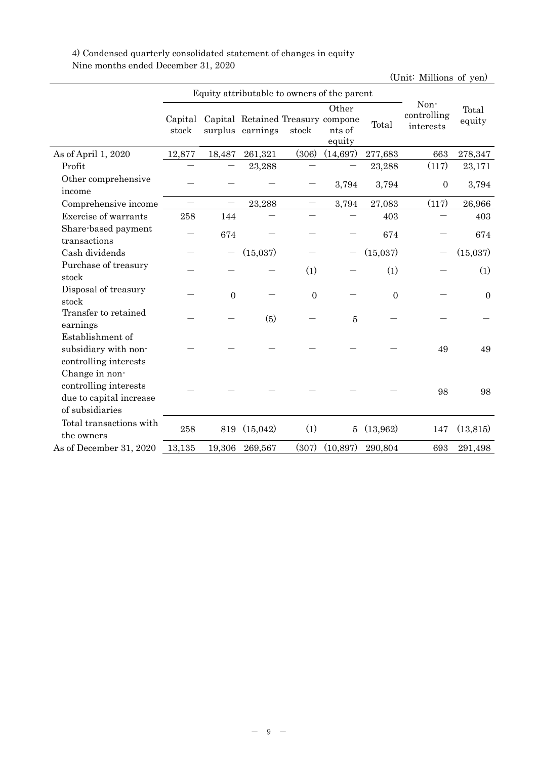4) Condensed quarterly consolidated statement of changes in equity Nine months ended December 31, 2020

|                                                                                       |                          | Equity attributable to owners of the parent |                                                       |              |                           |                  |                                  |                 |
|---------------------------------------------------------------------------------------|--------------------------|---------------------------------------------|-------------------------------------------------------|--------------|---------------------------|------------------|----------------------------------|-----------------|
|                                                                                       | Capital<br>stock         |                                             | Capital Retained Treasury compone<br>surplus earnings | stock        | Other<br>nts of<br>equity | Total            | Non-<br>controlling<br>interests | Total<br>equity |
| As of April 1, 2020                                                                   | 12,877                   | 18,487                                      | 261,321                                               | (306)        | (14, 697)                 | 277,683          | 663                              | 278,347         |
| Profit                                                                                |                          |                                             | 23,288                                                |              |                           | 23,288           | (117)                            | 23,171          |
| Other comprehensive<br>income                                                         |                          |                                             |                                                       |              | 3,794                     | 3,794            | $\boldsymbol{0}$                 | 3,794           |
| Comprehensive income                                                                  | $\overline{\phantom{0}}$ |                                             | 23,288                                                |              | 3,794                     | 27,083           | (117)                            | 26,966          |
| Exercise of warrants                                                                  | 258                      | 144                                         |                                                       |              |                           | 403              |                                  | 403             |
| Share-based payment<br>transactions                                                   |                          | 674                                         |                                                       |              |                           | 674              |                                  | 674             |
| Cash dividends                                                                        |                          |                                             | (15,037)                                              |              |                           | (15,037)         |                                  | (15,037)        |
| Purchase of treasury<br>stock                                                         |                          |                                             |                                                       | (1)          |                           | (1)              |                                  | (1)             |
| Disposal of treasury<br>stock                                                         |                          | $\overline{0}$                              |                                                       | $\mathbf{0}$ |                           | $\boldsymbol{0}$ |                                  | $\mathbf{0}$    |
| Transfer to retained<br>earnings                                                      |                          |                                             | (5)                                                   |              | $\bf 5$                   |                  |                                  |                 |
| Establishment of<br>subsidiary with non-<br>controlling interests                     |                          |                                             |                                                       |              |                           |                  | 49                               | 49              |
| Change in non-<br>controlling interests<br>due to capital increase<br>of subsidiaries |                          |                                             |                                                       |              |                           |                  | 98                               | 98              |
| Total transactions with<br>the owners                                                 | 258                      | 819                                         | (15, 042)                                             | (1)          | 5                         | (13,962)         | 147                              | (13, 815)       |
| As of December 31, 2020                                                               | 13,135                   | 19,306                                      | 269,567                                               | (307)        | (10, 897)                 | 290,804          | 693                              | 291,498         |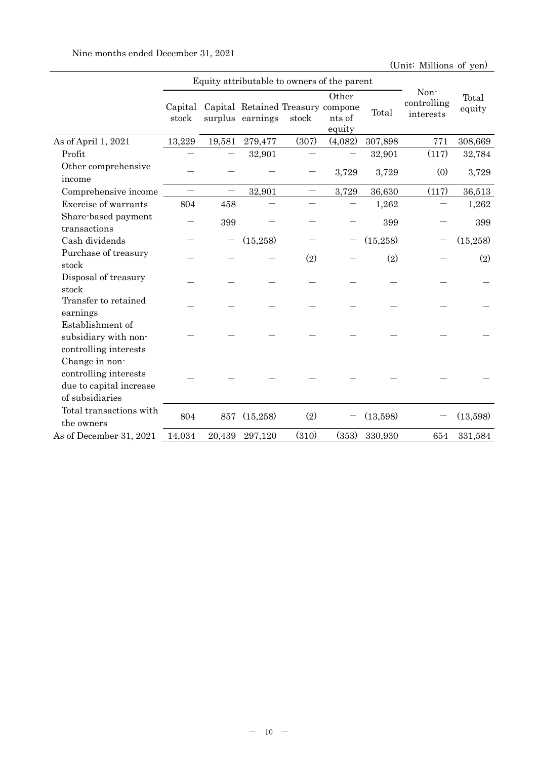|                                                                                       |                  | Equity attributable to owners of the parent |                                                       |       |                           |           |                                  |                 |
|---------------------------------------------------------------------------------------|------------------|---------------------------------------------|-------------------------------------------------------|-------|---------------------------|-----------|----------------------------------|-----------------|
|                                                                                       | Capital<br>stock |                                             | Capital Retained Treasury compone<br>surplus earnings | stock | Other<br>nts of<br>equity | Total     | Non-<br>controlling<br>interests | Total<br>equity |
| As of April 1, 2021                                                                   | 13,229           | 19,581                                      | 279,477                                               | (307) | (4,082)                   | 307,898   | 771                              | 308,669         |
| Profit                                                                                |                  |                                             | 32,901                                                |       |                           | 32,901    | (117)                            | 32,784          |
| Other comprehensive<br>income                                                         |                  |                                             |                                                       |       | 3,729                     | 3,729     | (0)                              | 3,729           |
| Comprehensive income                                                                  |                  | $\overline{\phantom{0}}$                    | 32,901                                                |       | 3,729                     | 36,630    | (117)                            | 36,513          |
| Exercise of warrants                                                                  | 804              | 458                                         |                                                       |       |                           | 1,262     |                                  | 1,262           |
| Share-based payment<br>transactions                                                   |                  | 399                                         |                                                       |       |                           | 399       |                                  | 399             |
| Cash dividends                                                                        |                  |                                             | (15,258)                                              |       |                           | (15, 258) |                                  | (15, 258)       |
| Purchase of treasury<br>stock                                                         |                  |                                             |                                                       | (2)   |                           | (2)       |                                  | (2)             |
| Disposal of treasury<br>stock                                                         |                  |                                             |                                                       |       |                           |           |                                  |                 |
| Transfer to retained<br>earnings                                                      |                  |                                             |                                                       |       |                           |           |                                  |                 |
| Establishment of<br>subsidiary with non-<br>controlling interests                     |                  |                                             |                                                       |       |                           |           |                                  |                 |
| Change in non-<br>controlling interests<br>due to capital increase<br>of subsidiaries |                  |                                             |                                                       |       |                           |           |                                  |                 |
| Total transactions with<br>the owners                                                 | 804              | 857                                         | (15,258)                                              | (2)   |                           | (13,598)  |                                  | (13,598)        |
| As of December 31, 2021                                                               | 14,034           | 20,439                                      | 297,120                                               | (310) | (353)                     | 330,930   | 654                              | 331,584         |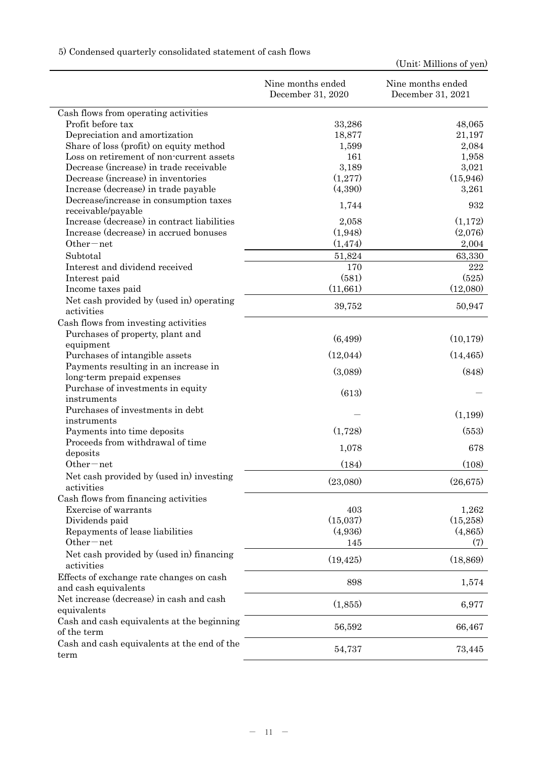|                                                                  | Nine months ended<br>December 31, 2020 | Nine months ended<br>December 31, 2021 |
|------------------------------------------------------------------|----------------------------------------|----------------------------------------|
| Cash flows from operating activities                             |                                        |                                        |
| Profit before tax                                                | 33,286                                 | 48,065                                 |
| Depreciation and amortization                                    | 18,877                                 | 21,197                                 |
| Share of loss (profit) on equity method                          | 1,599                                  | 2,084                                  |
| Loss on retirement of non-current assets                         | 161                                    | 1,958                                  |
| Decrease (increase) in trade receivable                          | 3,189                                  | 3,021                                  |
| Decrease (increase) in inventories                               | (1,277)                                | (15, 946)                              |
| Increase (decrease) in trade payable                             | (4,390)                                | 3,261                                  |
| Decrease/increase in consumption taxes                           | 1,744                                  | 932                                    |
| receivable/payable                                               |                                        |                                        |
| Increase (decrease) in contract liabilities                      | 2,058                                  | (1,172)                                |
| Increase (decrease) in accrued bonuses                           | (1,948)                                | (2,076)                                |
| Other-net                                                        | (1, 474)                               | 2,004                                  |
| Subtotal                                                         | 51,824                                 | 63,330                                 |
| Interest and dividend received                                   | 170                                    | 222                                    |
| Interest paid                                                    | (581)                                  | (525)                                  |
| Income taxes paid                                                | (11,661)                               | (12,080)                               |
| Net cash provided by (used in) operating<br>activities           | 39,752                                 | 50,947                                 |
| Cash flows from investing activities                             |                                        |                                        |
| Purchases of property, plant and                                 | (6, 499)                               | (10, 179)                              |
| equipment                                                        |                                        |                                        |
| Purchases of intangible assets                                   | (12,044)                               | (14, 465)                              |
| Payments resulting in an increase in                             | (3,089)                                | (848)                                  |
| long-term prepaid expenses                                       |                                        |                                        |
| Purchase of investments in equity                                | (613)                                  |                                        |
| instruments                                                      |                                        |                                        |
| Purchases of investments in debt                                 |                                        | (1,199)                                |
| instruments                                                      | (1,728)                                | (553)                                  |
| Payments into time deposits<br>Proceeds from withdrawal of time  |                                        |                                        |
| deposits                                                         | 1,078                                  | 678                                    |
| Other-net                                                        | (184)                                  | (108)                                  |
| Net cash provided by (used in) investing                         | (23,080)                               | (26, 675)                              |
| activities                                                       |                                        |                                        |
| Cash flows from financing activities                             |                                        |                                        |
| Exercise of warrants                                             | 403                                    | 1,262                                  |
| Dividends paid                                                   | (15,037)                               | (15, 258)                              |
| Repayments of lease liabilities                                  | (4,936)                                | (4,865)                                |
| $Other-net$                                                      | 145                                    | (7)                                    |
| Net cash provided by (used in) financing<br>activities           | (19, 425)                              | (18, 869)                              |
| Effects of exchange rate changes on cash<br>and cash equivalents | 898                                    | 1,574                                  |
| Net increase (decrease) in cash and cash                         |                                        |                                        |
| equivalents                                                      | (1,855)                                | 6,977                                  |
| Cash and cash equivalents at the beginning                       | 56,592                                 | 66,467                                 |
| of the term<br>Cash and cash equivalents at the end of the       |                                        |                                        |
| term                                                             | 54,737                                 | 73,445                                 |

# 5) Condensed quarterly consolidated statement of cash flows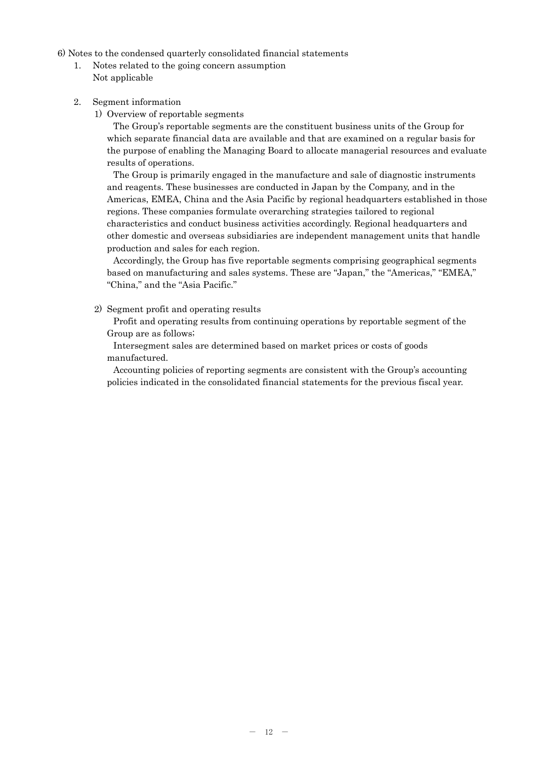6) Notes to the condensed quarterly consolidated financial statements

- 1. Notes related to the going concern assumption Not applicable
- 2. Segment information
	- 1) Overview of reportable segments

The Group's reportable segments are the constituent business units of the Group for which separate financial data are available and that are examined on a regular basis for the purpose of enabling the Managing Board to allocate managerial resources and evaluate results of operations.

The Group is primarily engaged in the manufacture and sale of diagnostic instruments and reagents. These businesses are conducted in Japan by the Company, and in the Americas, EMEA, China and the Asia Pacific by regional headquarters established in those regions. These companies formulate overarching strategies tailored to regional characteristics and conduct business activities accordingly. Regional headquarters and other domestic and overseas subsidiaries are independent management units that handle production and sales for each region.

Accordingly, the Group has five reportable segments comprising geographical segments based on manufacturing and sales systems. These are "Japan," the "Americas," "EMEA," "China," and the "Asia Pacific."

2) Segment profit and operating results

Profit and operating results from continuing operations by reportable segment of the Group are as follows;

Intersegment sales are determined based on market prices or costs of goods manufactured.

Accounting policies of reporting segments are consistent with the Group's accounting policies indicated in the consolidated financial statements for the previous fiscal year.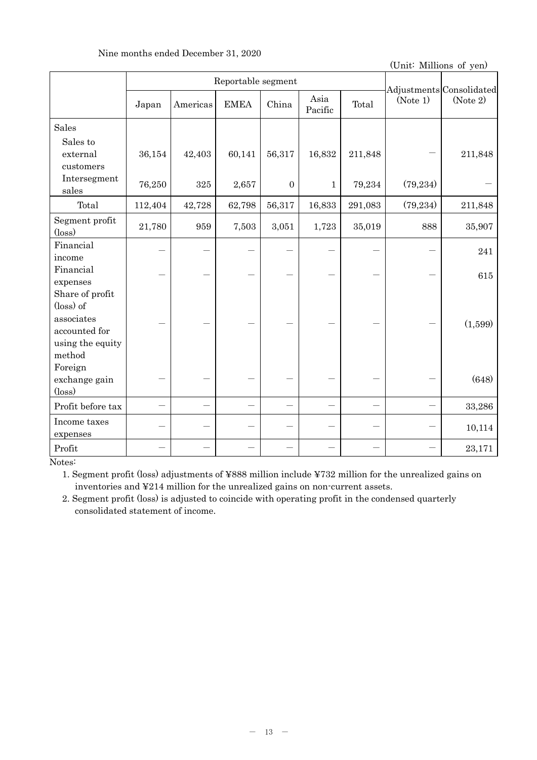| Nine months ended December 31, 2020 |  |  |  |  |
|-------------------------------------|--|--|--|--|
|-------------------------------------|--|--|--|--|

|                                                                                           | Reportable segment |          |             |              |                 |         |           | Adjustments Consolidated |
|-------------------------------------------------------------------------------------------|--------------------|----------|-------------|--------------|-----------------|---------|-----------|--------------------------|
|                                                                                           | Japan              | Americas | <b>EMEA</b> | China        | Asia<br>Pacific | Total   | (Note 1)  | (Note 2)                 |
| <b>Sales</b>                                                                              |                    |          |             |              |                 |         |           |                          |
| Sales to<br>external<br>customers                                                         | 36,154             | 42,403   | 60,141      | 56,317       | 16,832          | 211,848 |           | 211,848                  |
| Intersegment<br>sales                                                                     | 76,250             | 325      | 2,657       | $\mathbf{0}$ | $\mathbf{1}$    | 79,234  | (79, 234) |                          |
| Total                                                                                     | 112,404            | 42,728   | 62,798      | 56,317       | 16,833          | 291,083 | (79, 234) | 211,848                  |
| Segment profit<br>$(\text{loss})$                                                         | 21,780             | 959      | 7,503       | 3,051        | 1,723           | 35,019  | 888       | 35,907                   |
| Financial<br>income                                                                       |                    |          |             |              |                 |         |           | 241                      |
| Financial<br>expenses                                                                     |                    |          |             |              |                 |         |           | 615                      |
| Share of profit<br>(loss) of<br>associates<br>accounted for<br>using the equity<br>method |                    |          |             |              |                 |         |           | (1,599)                  |
| Foreign<br>exchange gain<br>$(\text{loss})$                                               |                    |          |             |              |                 |         |           | (648)                    |
| Profit before tax                                                                         |                    |          |             |              |                 |         |           | 33,286                   |
| Income taxes<br>expenses                                                                  |                    |          |             |              |                 |         |           | 10,114                   |
| Profit                                                                                    |                    |          |             |              |                 |         |           | 23,171                   |

Notes:

1. Segment profit (loss) adjustments of ¥888 million include ¥732 million for the unrealized gains on inventories and ¥214 million for the unrealized gains on non-current assets.

2. Segment profit (loss) is adjusted to coincide with operating profit in the condensed quarterly consolidated statement of income.